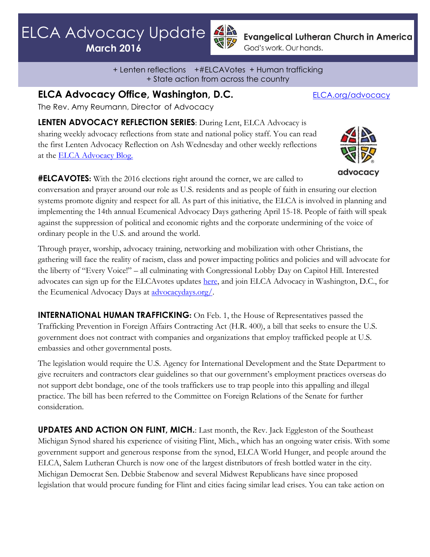$LCA$   $A$  dyscarcy **March 2016** ELCA Advocacy Update

**March 2016**



**Evangelical Lutheran Church in America** God's work. Our hands.

+ Lenten reflections +#ELCAVotes + Human trafficking + State action from across the country

**ELCA Advocacy Office, Washington, D.C.** [ELCA.org/advocacy](http://www.elca.org/advocacy)

The Rev. Amy Reumann, Director of Advocacy

**LENTEN ADVOCACY REFLECTION SERIES**: During Lent, ELCA Advocacy is sharing weekly advocacy reflections from state and national policy staff. You can read the first Lenten Advocacy Reflection on Ash Wednesday and other weekly reflections at the [ELCA Advocacy Blog.](http://blogs.elca.org/advocacy/lent-reflection-ash-wednesday/)



**#ELCAVOTES:** With the 2016 elections right around the corner, we are called to

conversation and prayer around our role as U.S. residents and as people of faith in ensuring our election systems promote dignity and respect for all. As part of this initiative, the ELCA is involved in planning and implementing the 14th annual Ecumenical Advocacy Days gathering April 15-18. People of faith will speak against the suppression of political and economic rights and the corporate undermining of the voice of ordinary people in the U.S. and around the world.

Through prayer, worship, advocacy training, networking and mobilization with other Christians, the gathering will face the reality of racism, class and power impacting politics and policies and will advocate for the liberty of "Every Voice!" – all culminating with Congressional Lobby Day on Capitol Hill. Interested advocates can sign up for the ELCAvotes updates [here,](http://www.elca.org/Our-Work/Publicly-Engaged-Church/ELCAVotes?_ga=1.69667920.198027392.1431948043) and join ELCA Advocacy in Washington, D.C., for the Ecumenical Advocacy Days at [advocacydays.org/.](http://advocacydays.org/)

**INTERNATIONAL HUMAN TRAFFICKING**: On Feb. 1, the House of Representatives passed the Trafficking Prevention in Foreign Affairs Contracting Act (H.R. 400), a bill that seeks to ensure the U.S. government does not contract with companies and organizations that employ trafficked people at U.S. embassies and other governmental posts.

The legislation would require the U.S. Agency for International Development and the State Department to give recruiters and contractors clear guidelines so that our government's employment practices overseas do not support debt bondage, one of the tools traffickers use to trap people into this appalling and illegal practice. The bill has been referred to the Committee on Foreign Relations of the Senate for further consideration.

**UPDATES AND ACTION ON FLINT, MICH.**: Last month, the Rev. Jack Eggleston of the Southeast Michigan Synod shared his experience of visiting Flint, Mich., which has an ongoing water crisis. With some government support and generous response from the synod, ELCA World Hunger, and people around the ELCA, Salem Lutheran Church is now one of the largest distributors of fresh bottled water in the city. Michigan Democrat Sen. Debbie Stabenow and several Midwest Republicans have since proposed legislation that would procure funding for Flint and cities facing similar lead crises. You can take action on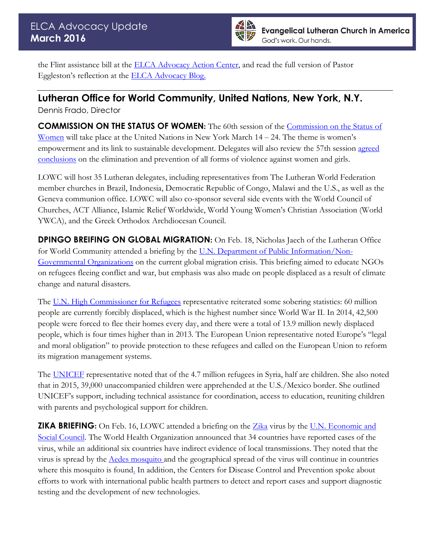

the Flint assistance bill at the [ELCA Advocacy Action Center,](https://secure2.convio.net/elca/site/Advocacy?cmd=display&page=UserAction&id=779) and read the full version of Pastor Eggleston's reflection at the [ELCA Advocacy Blog.](http://blogs.elca.org/advocacy/living-earth-reflection-when-water-becomes-no-longer-safe/)

## **Lutheran Office for World Community, United Nations, New York, N.Y.**

Dennis Frado, Director

**COMMISSION ON THE STATUS OF WOMEN:** The 60th session of the [Commission on the Status of](http://www.unwomen.org/en/csw/csw60-2016)  [Women](http://www.unwomen.org/en/csw/csw60-2016) will take place at the United Nations in New York March 14 – 24. The theme is women's empowerment and its link to sustainable development. Delegates will also review the 57th session [agreed](http://www.unwomen.org/en/csw/outcomes#57)  [conclusions](http://www.unwomen.org/en/csw/outcomes#57) on the elimination and prevention of all forms of violence against women and girls.

LOWC will host 35 Lutheran delegates, including representatives from The Lutheran World Federation member churches in Brazil, Indonesia, Democratic Republic of Congo, Malawi and the U.S., as well as the Geneva communion office. LOWC will also co-sponsor several side events with the World Council of Churches, ACT Alliance, Islamic Relief Worldwide, World Young Women's Christian Association (World YWCA), and the Greek Orthodox Archdiocesan Council.

**DPINGO BREIFING ON GLOBAL MIGRATION:** On Feb. 18, Nicholas Jaech of the Lutheran Office for World Community attended a briefing by the U.N. [Department of Public Information/Non-](http://outreach.un.org/ngorelations/)[Governmental Organizations](http://outreach.un.org/ngorelations/) on the current global migration crisis. This briefing aimed to educate NGOs on refugees fleeing conflict and war, but emphasis was also made on people displaced as a result of climate change and natural disasters.

The U.N. [High Commissioner for Refugees](http://www.unrefugees.org/) representative reiterated some sobering statistics: 60 million people are currently forcibly displaced, which is the highest number since World War II. In 2014, 42,500 people were forced to flee their homes every day, and there were a total of 13.9 million newly displaced people, which is four times higher than in 2013. The European Union representative noted Europe's "legal and moral obligation" to provide protection to these refugees and called on the European Union to reform its migration management systems.

The [UNICEF](http://www.unicef.org/) representative noted that of the 4.7 million refugees in Syria, half are children. She also noted that in 2015, 39,000 unaccompanied children were apprehended at the U.S./Mexico border. She outlined UNICEF's support, including technical assistance for coordination, access to education, reuniting children with parents and psychological support for children.

**ZIKA BRIEFING:** On Feb. 16, LOWC attended a briefing on the [Zika](http://www.who.int/mediacentre/factsheets/zika/en/) virus by the U.N. Economic and [Social Council.](https://www.un.org/ecosoc/en/) The World Health Organization announced that 34 countries have reported cases of the virus, while an additional six countries have indirect evidence of local transmissions. They noted that the virus is spread by the [Aedes mosquito](http://www.who.int/denguecontrol/mosquito/en/) and the geographical spread of the virus will continue in countries where this mosquito is found. In addition, the Centers for Disease Control and Prevention spoke about efforts to work with international public health partners to detect and report cases and support diagnostic testing and the development of new technologies.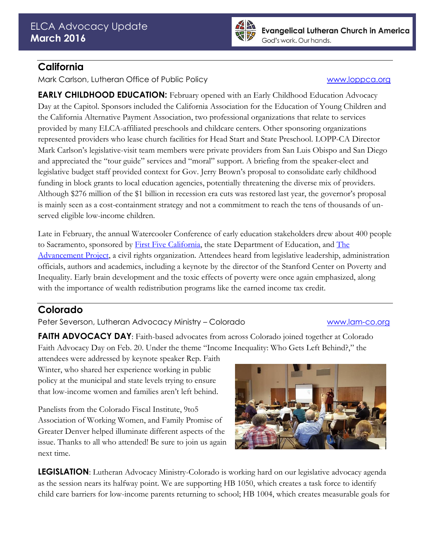

## **California**

Mark Carlson, Lutheran Office of Public Policy [www.loppca.org](http://www.loppca.org/)

**EARLY CHILDHOOD EDUCATION:** February opened with an Early Childhood Education Advocacy Day at the Capitol. Sponsors included the California Association for the Education of Young Children and the California Alternative Payment Association, two professional organizations that relate to services provided by many ELCA-affiliated preschools and childcare centers. Other sponsoring organizations represented providers who lease church facilities for Head Start and State Preschool. LOPP-CA Director Mark Carlson's legislative-visit team members were private providers from San Luis Obispo and San Diego and appreciated the "tour guide" services and "moral" support. A briefing from the speaker-elect and legislative budget staff provided context for Gov. Jerry Brown's proposal to consolidate early childhood funding in block grants to local education agencies, potentially threatening the diverse mix of providers. Although \$276 million of the \$1 billion in recession era cuts was restored last year, the governor's proposal is mainly seen as a cost-containment strategy and not a commitment to reach the tens of thousands of unserved eligible low-income children.

Late in February, the annual Watercooler Conference of early education stakeholders drew about 400 people to Sacramento, sponsored by [First Five California,](http://www.ccfc.ca.gov/) the state Department of Education, and The [Advancement Project,](http://www.theadvancementprojectca.org/) a civil rights organization. Attendees heard from legislative leadership, administration officials, authors and academics, including a keynote by the director of the Stanford Center on Poverty and Inequality. Early brain development and the toxic effects of poverty were once again emphasized, along with the importance of wealth redistribution programs like the earned income tax credit.

# **Colorado**

Peter Severson, Lutheran Advocacy Ministry - Colorado [www.lam-co.org](http://www.lam-co.org/)

**FAITH ADVOCACY DAY**: Faith-based advocates from across Colorado joined together at Colorado Faith Advocacy Day on Feb. 20. Under the theme "Income Inequality: Who Gets Left Behind?," the

attendees were addressed by keynote speaker Rep. Faith Winter, who shared her experience working in public policy at the municipal and state levels trying to ensure that low-income women and families aren't left behind.

Panelists from the Colorado Fiscal Institute, 9to5 Association of Working Women, and Family Promise of Greater Denver helped illuminate different aspects of the issue. Thanks to all who attended! Be sure to join us again next time.



**LEGISLATION**: Lutheran Advocacy Ministry-Colorado is working hard on our legislative advocacy agenda as the session nears its halfway point. We are supporting HB 1050, which creates a task force to identify child care barriers for low-income parents returning to school; HB 1004, which creates measurable goals for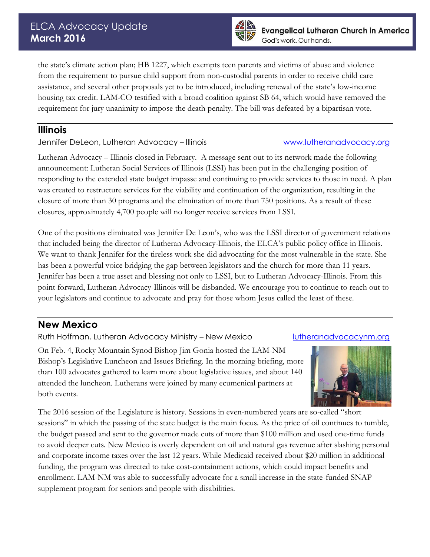

the state's climate action plan; HB 1227, which exempts teen parents and victims of abuse and violence from the requirement to pursue child support from non-custodial parents in order to receive child care assistance, and several other proposals yet to be introduced, including renewal of the state's low-income housing tax credit. LAM-CO testified with a broad coalition against SB 64, which would have removed the requirement for jury unanimity to impose the death penalty. The bill was defeated by a bipartisan vote.

## **Illinois**

Jennifer DeLeon, Lutheran Advocacy – Illinois [www.lutheranadvocacy.org](http://www.lutheranadvocacy.org/)

Lutheran Advocacy – Illinois closed in February. A message sent out to its network made the following announcement: Lutheran Social Services of Illinois (LSSI) has been put in the challenging position of responding to the extended state budget impasse and continuing to provide services to those in need. A plan was created to restructure services for the viability and continuation of the organization, resulting in the closure of more than 30 programs and the elimination of more than 750 positions. As a result of these closures, approximately 4,700 people will no longer receive services from LSSI.

One of the positions eliminated was Jennifer De Leon's, who was the LSSI director of government relations that included being the director of Lutheran Advocacy-Illinois, the ELCA's public policy office in Illinois. We want to thank Jennifer for the tireless work she did advocating for the most vulnerable in the state. She has been a powerful voice bridging the gap between legislators and the church for more than 11 years. Jennifer has been a true asset and blessing not only to LSSI, but to Lutheran Advocacy-Illinois. From this point forward, Lutheran Advocacy-Illinois will be disbanded. We encourage you to continue to reach out to your legislators and continue to advocate and pray for those whom Jesus called the least of these.

# **New Mexico**

Ruth Hoffman, Lutheran Advocacy Ministry – New Mexico [lutheranadvocacynm.org](file:///C:/Users/Patrick_Flaherty/AppData/Local/Microsoft/Windows/Temporary%20Internet%20Files/Content.Outlook/AppData/Local/Microsoft/Windows/Temporary%20Internet%20Files/Content.Outlook/AppData/Local/Microsoft/Windows/Temporary%20Internet%20Files/Tia_Upchurch-freelov.INNER/AppData/Local/Microsoft/AppData/Local/Microsoft/Windows/Temporary%20Internet%20Files/AppData/AppData/Local/Microsoft/Windows/Temporary%20Internet%20Files/Tia_Upchurch-freelov.INNER/AppData/Local/Andrew_Fuller/Documents/State%20Advocacy%20Newsletter/Advocacy%20Newsletter%20November%202014/lutheranadvocacynm.org)

On Feb. 4, Rocky Mountain Synod Bishop Jim Gonia hosted the LAM-NM Bishop's Legislative Luncheon and Issues Briefing. In the morning briefing, more than 100 advocates gathered to learn more about legislative issues, and about 140 attended the luncheon. Lutherans were joined by many ecumenical partners at both events.



The 2016 session of the Legislature is history. Sessions in even-numbered years are so-called "short sessions" in which the passing of the state budget is the main focus. As the price of oil continues to tumble, the budget passed and sent to the governor made cuts of more than \$100 million and used one-time funds to avoid deeper cuts. New Mexico is overly dependent on oil and natural gas revenue after slashing personal and corporate income taxes over the last 12 years. While Medicaid received about \$20 million in additional funding, the program was directed to take cost-containment actions, which could impact benefits and enrollment. LAM-NM was able to successfully advocate for a small increase in the state-funded SNAP supplement program for seniors and people with disabilities.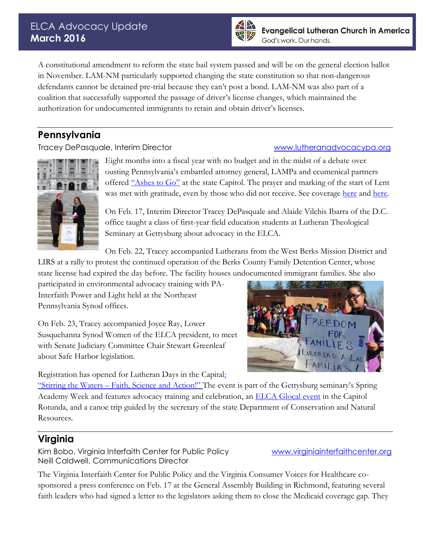## ELCA Advocacy Update **March 2016**



A constitutional amendment to reform the state bail system passed and will be on the general election ballot in November. LAM-NM particularly supported changing the state constitution so that non-dangerous defendants cannot be detained pre-trial because they can't post a bond. LAM-NM was also part of a coalition that successfully supported the passage of driver's license changes, which maintained the authorization for undocumented immigrants to retain and obtain driver's licenses.

# **Pennsylvania**

Tracey DePasquale, Interim Director[www.lutheranadvocacypa.org](http://www.lutheranadvocacypa.org/)



Eight months into a fiscal year with no budget and in the midst of a debate over ousting Pennsylvania's embattled attorney general, LAMPa and ecumenical partners offered ["Ashes to Go"](http://www.lutheranadvocacypa.org/ashes-to-go-at-capitol/) at the state Capitol. The prayer and marking of the start of Lent was met with gratitude, even by those who did not receive. See coverage [here](http://fox43.com/2016/02/10/ashes-to-go-sets-up-at-the-capitol/) and [here.](http://local21news.com/news/local/faith-leaders-provide-ashes-to-go-at-capitol)

On Feb. 17, Interim Director Tracey DePasquale and Alaide Vilchis Ibarra of the D.C. office taught a class of first-year field education students at Lutheran Theological Seminary at Gettysburg about advocacy in the ELCA.

On Feb. 22, Tracey accompanied Lutherans from the West Berks Mission District and LIRS at a rally to protest the continued operation of the Berks County Family Detention Center, whose state license had expired the day before. The facility houses undocumented immigrant families. She also

participated in environmental advocacy training with PA-Interfaith Power and Light held at the Northeast Pennsylvania Synod offices.

On Feb. 23, Tracey accompanied Joyce Ray, Lower Susquehanna Synod Women of the ELCA president, to meet with Senate Judiciary Committee Chair Stewart Greenleaf about Safe Harbor legislation.

Registration has opened for Lutheran Days in the Capita[l:](http://www.lutheranadvocacypa.org/register-now-for-lutheran-day-2016/)



"Stirring the Waters – [Faith, Science and Action!"](http://www.lutheranadvocacypa.org/register-now-for-lutheran-day-2016/) The event is part of the Gettysburg seminary's Spring Academy Week and features advocacy training and celebration, an [ELCA Glocal event](http://glocal.cvent.com/events/stirring-the-waters-faith-creation-and-advocacy/event-summary-1c086db2491e43798c38f8e504181d44.aspx) in the Capitol Rotunda, and a canoe trip guided by the secretary of the state Department of Conservation and Natural Resources.

# **Virginia**

Kim Bobo, Virginia Interfaith Center for Public Policy [www.virginiainterfaithcenter.org](http://www.virginiainterfaithcenter.org/) Neill Caldwell, Communications Director

The Virginia Interfaith Center for Public Policy and the Virginia Consumer Voices for Healthcare cosponsored a press conference on Feb. 17 at the General Assembly Building in Richmond, featuring several faith leaders who had signed a letter to the legislators asking them to close the Medicaid coverage gap. They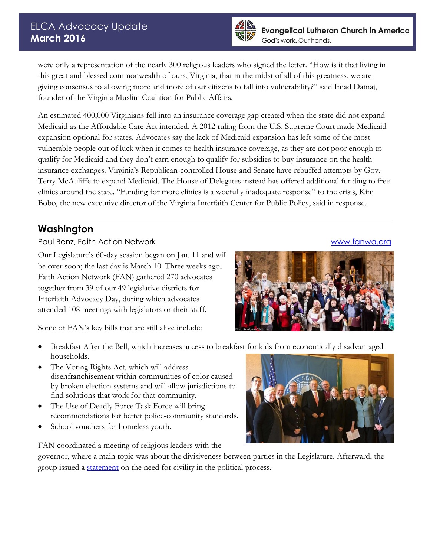

were only a representation of the nearly 300 religious leaders who signed the letter. "How is it that living in this great and blessed commonwealth of ours, Virginia, that in the midst of all of this greatness, we are giving consensus to allowing more and more of our citizens to fall into vulnerability?" said Imad Damaj, founder of the Virginia Muslim Coalition for Public Affairs.

An estimated 400,000 Virginians fell into an insurance coverage gap created when the state did not expand Medicaid as the Affordable Care Act intended. A 2012 ruling from the U.S. Supreme Court made Medicaid expansion optional for states. Advocates say the lack of Medicaid expansion has left some of the most vulnerable people out of luck when it comes to health insurance coverage, as they are not poor enough to qualify for Medicaid and they don't earn enough to qualify for subsidies to buy insurance on the health insurance exchanges. Virginia's Republican-controlled House and Senate have rebuffed attempts by Gov. Terry McAuliffe to expand Medicaid. The House of Delegates instead has offered additional funding to free clinics around the state. "Funding for more clinics is a woefully inadequate response" to the crisis, Kim Bobo, the new executive director of the Virginia Interfaith Center for Public Policy, said in response.

## **Washington**

Paul Benz, Faith Action Network [www.fanwa.org](http://www.fanwa.org/)

Our Legislature's 60-day session began on Jan. 11 and will be over soon; the last day is March 10. Three weeks ago, Faith Action Network (FAN) gathered 270 advocates together from 39 of our 49 legislative districts for Interfaith Advocacy Day, during which advocates attended 108 meetings with legislators or their staff.



Some of FAN's key bills that are still alive include:

- Breakfast After the Bell, which increases access to breakfast for kids from economically disadvantaged households.
- The Voting Rights Act, which will address disenfranchisement within communities of color caused by broken election systems and will allow jurisdictions to find solutions that work for that community.
- The Use of Deadly Force Task Force will bring recommendations for better police-community standards.
- School vouchers for homeless youth.

FAN coordinated a meeting of religious leaders with the

governor, where a main topic was about the divisiveness between parties in the Legislature. Afterward, the group issued a **statement** on the need for civility in the political process.